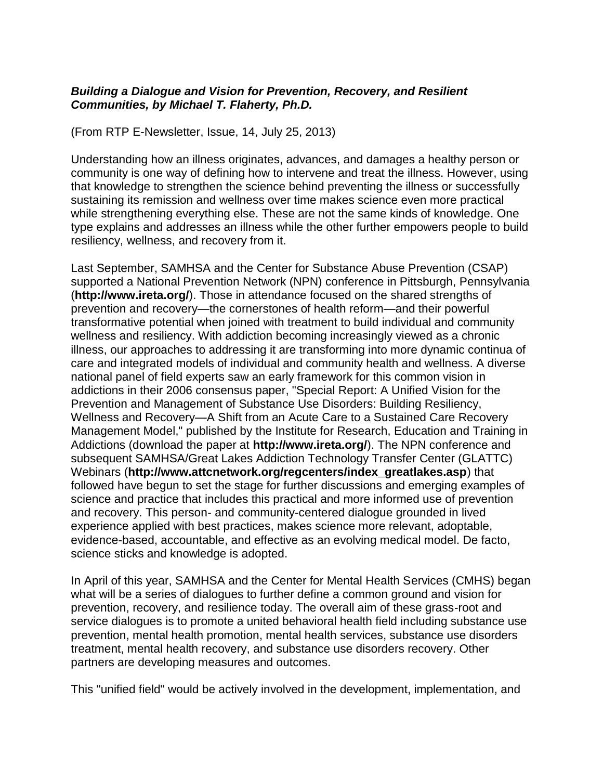## *Building a Dialogue and Vision for Prevention, Recovery, and Resilient Communities, by Michael T. Flaherty, Ph.D.*

(From RTP E-Newsletter, Issue, 14, July 25, 2013)

Understanding how an illness originates, advances, and damages a healthy person or community is one way of defining how to intervene and treat the illness. However, using that knowledge to strengthen the science behind preventing the illness or successfully sustaining its remission and wellness over time makes science even more practical while strengthening everything else. These are not the same kinds of knowledge. One type explains and addresses an illness while the other further empowers people to build resiliency, wellness, and recovery from it.

Last September, SAMHSA and the Center for Substance Abuse Prevention (CSAP) supported a National Prevention Network (NPN) conference in Pittsburgh, Pennsylvania (**<http://www.ireta.org/>**). Those in attendance focused on the shared strengths of prevention and recovery—the cornerstones of health reform—and their powerful transformative potential when joined with treatment to build individual and community wellness and resiliency. With addiction becoming increasingly viewed as a chronic illness, our approaches to addressing it are transforming into more dynamic continua of care and integrated models of individual and community health and wellness. A diverse national panel of field experts saw an early framework for this common vision in addictions in their 2006 consensus paper, "Special Report: A Unified Vision for the Prevention and Management of Substance Use Disorders: Building Resiliency, Wellness and Recovery—A Shift from an Acute Care to a Sustained Care Recovery Management Model," published by the Institute for Research, Education and Training in Addictions (download the paper at **<http://www.ireta.org/>**). The NPN conference and subsequent SAMHSA/Great Lakes Addiction Technology Transfer Center (GLATTC) Webinars (**[http://www.attcnetwork.org/regcenters/index\\_greatlakes.asp](http://www.attcnetwork.org/regcenters/index_greatlakes.asp)**) that followed have begun to set the stage for further discussions and emerging examples of science and practice that includes this practical and more informed use of prevention and recovery. This person- and community-centered dialogue grounded in lived experience applied with best practices, makes science more relevant, adoptable, evidence-based, accountable, and effective as an evolving medical model. De facto, science sticks and knowledge is adopted.

In April of this year, SAMHSA and the Center for Mental Health Services (CMHS) began what will be a series of dialogues to further define a common ground and vision for prevention, recovery, and resilience today. The overall aim of these grass-root and service dialogues is to promote a united behavioral health field including substance use prevention, mental health promotion, mental health services, substance use disorders treatment, mental health recovery, and substance use disorders recovery. Other partners are developing measures and outcomes.

This "unified field" would be actively involved in the development, implementation, and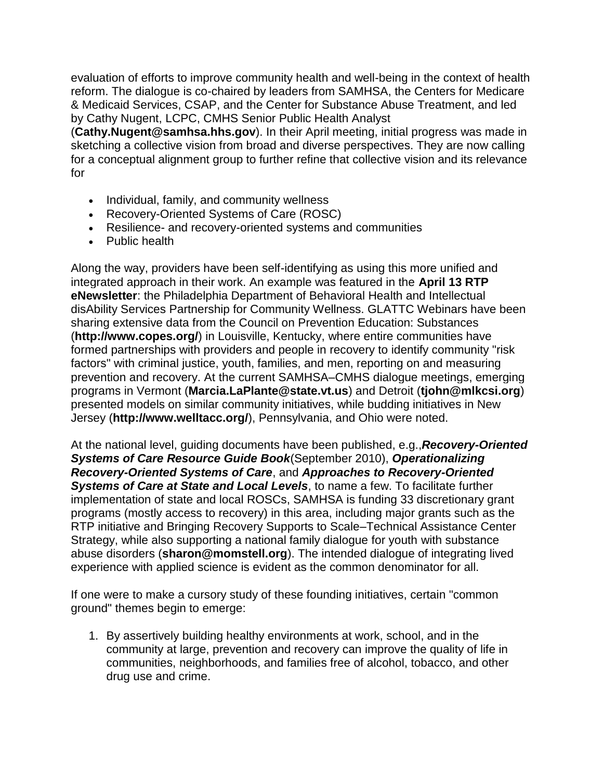evaluation of efforts to improve community health and well-being in the context of health reform. The dialogue is co-chaired by leaders from SAMHSA, the Centers for Medicare & Medicaid Services, CSAP, and the Center for Substance Abuse Treatment, and led by Cathy Nugent, LCPC, CMHS Senior Public Health Analyst

(**[Cathy.Nugent@samhsa.hhs.gov](mailto:Cathy.Nugent@samhsa.hhs.gov)**). In their April meeting, initial progress was made in sketching a collective vision from broad and diverse perspectives. They are now calling for a conceptual alignment group to further refine that collective vision and its relevance for

- Individual, family, and community wellness
- Recovery-Oriented Systems of Care (ROSC)
- Resilience- and recovery-oriented systems and communities
- Public health

Along the way, providers have been self-identifying as using this more unified and integrated approach in their work. An example was featured in the **[April 13 RTP](http://www.dsgonline.com/rtp/enews/2013/2013_04_18/enews_2013_04_18.html)  [eNewsletter](http://www.dsgonline.com/rtp/enews/2013/2013_04_18/enews_2013_04_18.html)**: the Philadelphia Department of Behavioral Health and Intellectual disAbility Services Partnership for Community Wellness. GLATTC Webinars have been sharing extensive data from the Council on Prevention Education: Substances (**<http://www.copes.org/>**) in Louisville, Kentucky, where entire communities have formed partnerships with providers and people in recovery to identify community "risk factors" with criminal justice, youth, families, and men, reporting on and measuring prevention and recovery. At the current SAMHSA–CMHS dialogue meetings, emerging programs in Vermont (**[Marcia.LaPlante@state.vt.us](mailto:Marcia.LaPlante@state.vt.us)**) and Detroit (**[tjohn@mlkcsi.org](mailto:tjohn@mlkcsi.org)**) presented models on similar community initiatives, while budding initiatives in New Jersey (**<http://www.welltacc.org/>**), Pennsylvania, and Ohio were noted.

At the national level, guiding documents have been published, e.g.,*[Recovery-Oriented](http://www.samhsa.gov/)  [Systems of Care Resource Guide Book](http://www.samhsa.gov/)*(September 2010), *[Operationalizing](http://www.samhsa.gov/)  [Recovery-Oriented Systems of Care](http://www.samhsa.gov/)*, and *[Approaches to Recovery-Oriented](http://partnersforrecovery.samhsa.gov/docs/State_and_Local_Levels.pdf)  [Systems of Care at State and Local Levels](http://partnersforrecovery.samhsa.gov/docs/State_and_Local_Levels.pdf)*, to name a few. To facilitate further implementation of state and local ROSCs, SAMHSA is funding 33 discretionary grant programs (mostly access to recovery) in this area, including major grants such as the RTP initiative and Bringing Recovery Supports to Scale–Technical Assistance Center Strategy, while also supporting a national family dialogue for youth with substance abuse disorders (**[sharon@momstell.org](mailto:sharon@momstell.org)**). The intended dialogue of integrating lived experience with applied science is evident as the common denominator for all.

If one were to make a cursory study of these founding initiatives, certain "common ground" themes begin to emerge:

1. By assertively building healthy environments at work, school, and in the community at large, prevention and recovery can improve the quality of life in communities, neighborhoods, and families free of alcohol, tobacco, and other drug use and crime.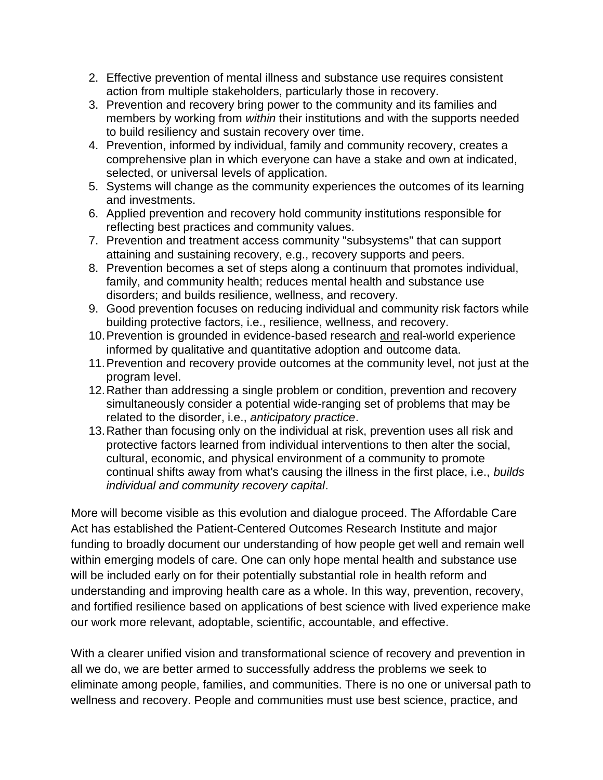- 2. Effective prevention of mental illness and substance use requires consistent action from multiple stakeholders, particularly those in recovery.
- 3. Prevention and recovery bring power to the community and its families and members by working from *within* their institutions and with the supports needed to build resiliency and sustain recovery over time.
- 4. Prevention, informed by individual, family and community recovery, creates a comprehensive plan in which everyone can have a stake and own at indicated, selected, or universal levels of application.
- 5. Systems will change as the community experiences the outcomes of its learning and investments.
- 6. Applied prevention and recovery hold community institutions responsible for reflecting best practices and community values.
- 7. Prevention and treatment access community "subsystems" that can support attaining and sustaining recovery, e.g., recovery supports and peers.
- 8. Prevention becomes a set of steps along a continuum that promotes individual, family, and community health; reduces mental health and substance use disorders; and builds resilience, wellness, and recovery.
- 9. Good prevention focuses on reducing individual and community risk factors while building protective factors, i.e., resilience, wellness, and recovery.
- 10.Prevention is grounded in evidence-based research and real-world experience informed by qualitative and quantitative adoption and outcome data.
- 11.Prevention and recovery provide outcomes at the community level, not just at the program level.
- 12.Rather than addressing a single problem or condition, prevention and recovery simultaneously consider a potential wide-ranging set of problems that may be related to the disorder, i.e., *anticipatory practice*.
- 13.Rather than focusing only on the individual at risk, prevention uses all risk and protective factors learned from individual interventions to then alter the social, cultural, economic, and physical environment of a community to promote continual shifts away from what's causing the illness in the first place, i.e., *builds individual and community recovery capital*.

More will become visible as this evolution and dialogue proceed. The Affordable Care Act has established the Patient-Centered Outcomes Research Institute and major funding to broadly document our understanding of how people get well and remain well within emerging models of care. One can only hope mental health and substance use will be included early on for their potentially substantial role in health reform and understanding and improving health care as a whole. In this way, prevention, recovery, and fortified resilience based on applications of best science with lived experience make our work more relevant, adoptable, scientific, accountable, and effective.

With a clearer unified vision and transformational science of recovery and prevention in all we do, we are better armed to successfully address the problems we seek to eliminate among people, families, and communities. There is no one or universal path to wellness and recovery. People and communities must use best science, practice, and